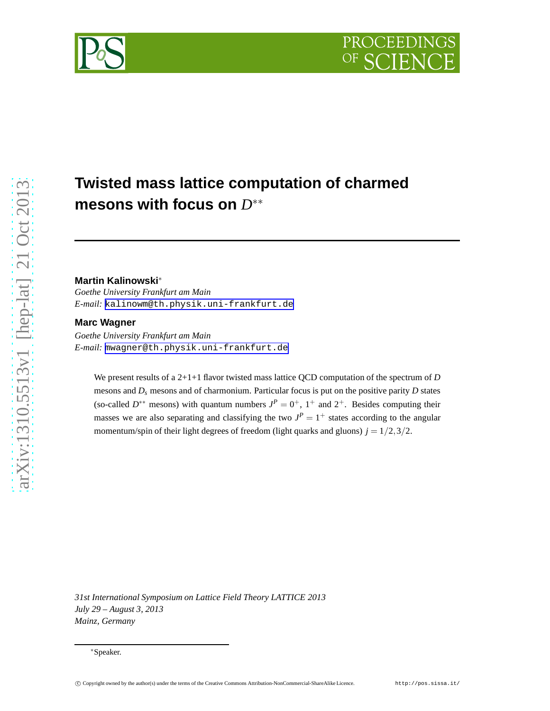# **Twisted mass lattice computation of charmed mesons with focus on** *D* ∗∗

#### **Martin Kalinowski**<sup>∗</sup>

*Goethe University Frankfurt am Main E-mail:* [kalinowm@th.physik.uni-frankfurt.de](mailto:kalinowm@th.physik.uni-frankfurt.de)

#### **Marc Wagner**

*Goethe University Frankfurt am Main E-mail:* [mwagner@th.physik.uni-frankfurt.de](mailto:mwagner@th.physik.uni-frankfurt.de)

We present results of a 2+1+1 flavor twisted mass lattice QCD computation of the spectrum of *D* mesons and  $D_s$  mesons and of charmonium. Particular focus is put on the positive parity  $D$  states (so-called  $D^{**}$  mesons) with quantum numbers  $J^P = 0^+$ ,  $1^+$  and  $2^+$ . Besides computing their masses we are also separating and classifying the two  $J^P = 1^+$  states according to the angular momentum/spin of their light degrees of freedom (light quarks and gluons)  $j = 1/2,3/2$ .

*31st International Symposium on Lattice Field Theory LATTICE 2013 July 29 – August 3, 2013 Mainz, Germany*



<sup>∗</sup>Speaker.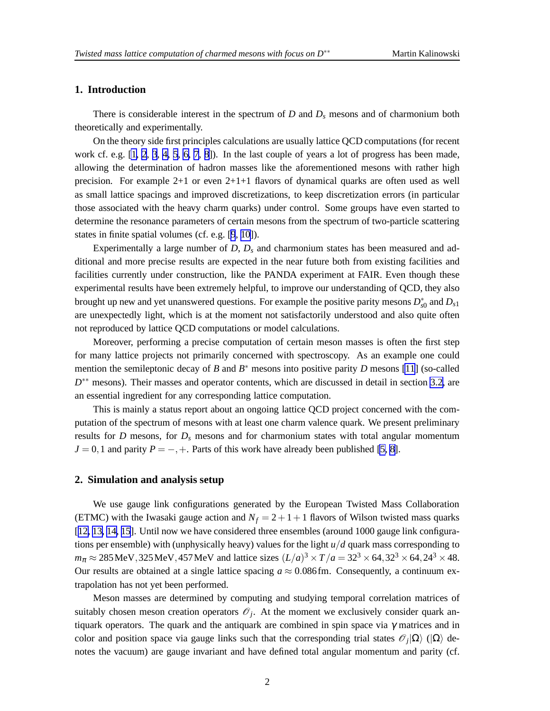### <span id="page-1-0"></span>**1. Introduction**

There is considerable interest in the spectrum of *D* and  $D_s$  mesons and of charmonium both theoretically and experimentally.

On the theory side first principles calculations are usually lattice QCD computations (for recent work cf. e.g. [\[1,](#page-5-0) [2](#page-6-0), [3](#page-6-0), [4, 5](#page-6-0), [6, 7](#page-6-0), [8](#page-6-0)]). In the last couple of years a lot of progress has been made, allowing the determination of hadron masses like the aforementioned mesons with rather high precision. For example  $2+1$  or even  $2+1+1$  flavors of dynamical quarks are often used as well as small lattice spacings and improved discretizations, to keep discretization errors (in particular those associated with the heavy charm quarks) under control. Some groups have even started to determine the resonance parameters of certain mesons from the spectrum of two-particle scattering states in finite spatial volumes (cf. e.g. [\[9](#page-6-0), [10\]](#page-6-0)).

Experimentally a large number of  $D$ ,  $D<sub>s</sub>$  and charmonium states has been measured and additional and more precise results are expected in the near future both from existing facilities and facilities currently under construction, like the PANDA experiment at FAIR. Even though these experimental results have been extremely helpful, to improve our understanding of QCD, they also brought up new and yet unanswered questions. For example the positive parity mesons  $D_{s0}^*$  and  $D_{s1}$ are unexpectedly light, which is at the moment not satisfactorily understood and also quite often not reproduced by lattice QCD computations or model calculations.

Moreover, performing a precise computation of certain meson masses is often the first step for many lattice projects not primarily concerned with spectroscopy. As an example one could mention the semileptonic decay of *B* and  $B^*$  mesons into positive parity *D* mesons [\[11](#page-6-0)] (so-called *D*<sup>\*\*</sup> mesons). Their masses and operator contents, which are discussed in detail in section [3.2,](#page-3-0) are an essential ingredient for any corresponding lattice computation.

This is mainly a status report about an ongoing lattice QCD project concerned with the computation of the spectrum of mesons with at least one charm valence quark. We present preliminary results for *D* mesons, for *D<sup>s</sup>* mesons and for charmonium states with total angular momentum  $J = 0,1$  and parity  $P = -, +$ . Parts of this work have already been published [\[5, 8\]](#page-6-0).

#### **2. Simulation and analysis setup**

We use gauge link configurations generated by the European Twisted Mass Collaboration (ETMC) with the Iwasaki gauge action and  $N_f = 2 + 1 + 1$  flavors of Wilson twisted mass quarks [[12, 13, 14, 15](#page-6-0)]. Until now we have considered three ensembles (around 1000 gauge link configurations per ensemble) with (unphysically heavy) values for the light *u*/*d* quark mass corresponding to  $m_{\pi} \approx 285 \text{ MeV}, 325 \text{ MeV}, 457 \text{ MeV}$  and lattice sizes  $(L/a)^3 \times T/a = 32^3 \times 64, 32^3 \times 64, 24^3 \times 48.$ Our results are obtained at a single lattice spacing  $a \approx 0.086$  fm. Consequently, a continuum extrapolation has not yet been performed.

Meson masses are determined by computing and studying temporal correlation matrices of suitably chosen meson creation operators  $\mathcal{O}_j$ . At the moment we exclusively consider quark antiquark operators. The quark and the antiquark are combined in spin space via  $\gamma$  matrices and in color and position space via gauge links such that the corresponding trial states  $\mathscr{O}_j|\Omega\rangle$  ( $|\Omega\rangle$  denotes the vacuum) are gauge invariant and have defined total angular momentum and parity (cf.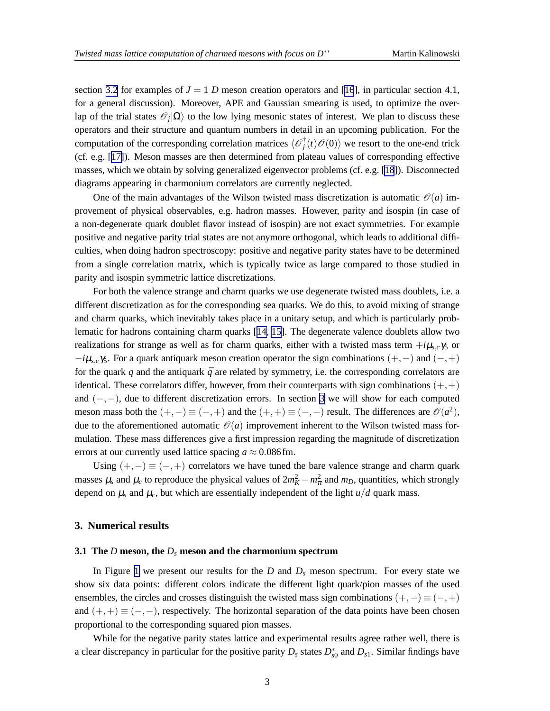section [3.2](#page-3-0) for examples of  $J = 1$  *D* meson creation operators and [[16](#page-6-0)], in particular section 4.1, for a general discussion). Moreover, APE and Gaussian smearing is used, to optimize the overlap of the trial states  $\mathcal{O}_j|\Omega\rangle$  to the low lying mesonic states of interest. We plan to discuss these operators and their structure and quantum numbers in detail in an upcoming publication. For the computation of the corresponding correlation matrices  $\langle \mathcal{O}_i^{\dagger} \rangle$  $f^{\dagger}_j(t) \mathscr{O}(0)$  we resort to the one-end trick (cf. e.g. [[17\]](#page-6-0)). Meson masses are then determined from plateau values of corresponding effective masses, which we obtain by solving generalized eigenvector problems (cf. e.g. [\[18](#page-6-0)]). Disconnected diagrams appearing in charmonium correlators are currently neglected.

One of the main advantages of the Wilson twisted mass discretization is automatic  $\mathcal{O}(a)$  improvement of physical observables, e.g. hadron masses. However, parity and isospin (in case of a non-degenerate quark doublet flavor instead of isospin) are not exact symmetries. For example positive and negative parity trial states are not anymore orthogonal, which leads to additional difficulties, when doing hadron spectroscopy: positive and negative parity states have to be determined from a single correlation matrix, which is typically twice as large compared to those studied in parity and isospin symmetric lattice discretizations.

For both the valence strange and charm quarks we use degenerate twisted mass doublets, i.e. a different discretization as for the corresponding sea quarks. We do this, to avoid mixing of strange and charm quarks, which inevitably takes place in a unitary setup, and which is particularly problematic for hadrons containing charm quarks [[14, 15](#page-6-0)]. The degenerate valence doublets allow two realizations for strange as well as for charm quarks, either with a twisted mass term  $+i\mu_{s,c}\gamma_5$  or −*i*µ*s*,*c*γ5. For a quark antiquark meson creation operator the sign combinations (+,−) and (−,+) for the quark  $q$  and the antiquark  $\bar{q}$  are related by symmetry, i.e. the corresponding correlators are identical. These correlators differ, however, from their counterparts with sign combinations  $(+,+)$ and  $(-,-)$ , due to different discretization errors. In section 3 we will show for each computed meson mass both the  $(+,-) \equiv (-,+)$  and the  $(+,+) \equiv (-,-)$  result. The differences are  $\mathcal{O}(a^2)$ , due to the aforementioned automatic  $\mathcal{O}(a)$  improvement inherent to the Wilson twisted mass formulation. These mass differences give a first impression regarding the magnitude of discretization errors at our currently used lattice spacing  $a \approx 0.086$  fm.

Using  $(+,-) \equiv (-,+)$  correlators we have tuned the bare valence strange and charm quark masses  $\mu_s$  and  $\mu_c$  to reproduce the physical values of  $2m_K^2 - m_\pi^2$  and  $m_D$ , quantities, which strongly depend on  $\mu_s$  and  $\mu_c$ , but which are essentially independent of the light  $u/d$  quark mass.

#### **3. Numerical results**

#### **3.1 The** *D* **meson, the** *D<sup>s</sup>* **meson and the charmonium spectrum**

In Figure [1](#page-3-0) we present our results for the *D* and *D<sup>s</sup>* meson spectrum. For every state we show six data points: different colors indicate the different light quark/pion masses of the used ensembles, the circles and crosses distinguish the twisted mass sign combinations  $(+,-) \equiv (-,+)$ and  $(+,+) \equiv (-,-)$ , respectively. The horizontal separation of the data points have been chosen proportional to the corresponding squared pion masses.

While for the negative parity states lattice and experimental results agree rather well, there is a clear discrepancy in particular for the positive parity  $D_s$  states  $D_{s0}^*$  and  $D_{s1}$ . Similar findings have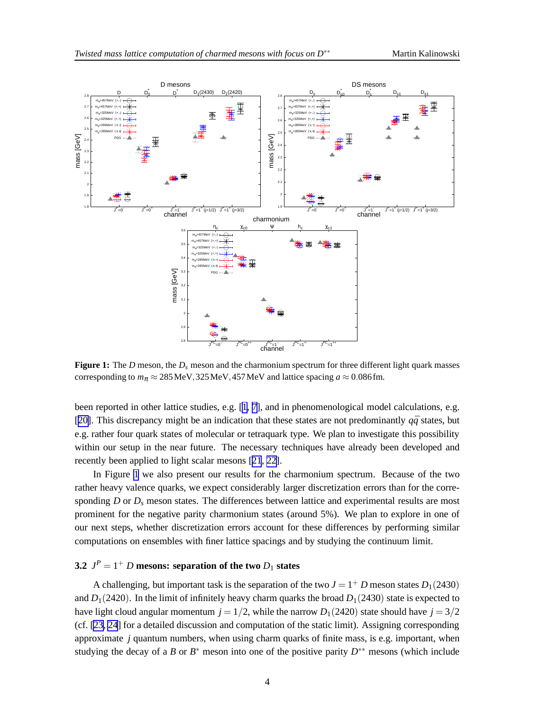<span id="page-3-0"></span>

**Figure 1:** The *D* meson, the *D<sup>s</sup>* meson and the charmonium spectrum for three different light quark masses corresponding to  $m_{\pi} \approx 285 \text{ MeV}$ , 325 MeV, 457 MeV and lattice spacing  $a \approx 0.086 \text{ fm}$ .

been reported in other lattice studies, e.g. [[1](#page-5-0), [7](#page-6-0)], and in phenomenological model calculations, e.g. [[20\]](#page-6-0). This discrepancy might be an indication that these states are not predominantly  $q\bar{q}$  states, but e.g. rather four quark states of molecular or tetraquark type. We plan to investigate this possibility within our setup in the near future. The necessary techniques have already been developed and recently been applied to light scalar mesons [[21](#page-6-0), [22\]](#page-6-0).

In Figure 1 we also present our results for the charmonium spectrum. Because of the two rather heavy valence quarks, we expect considerably larger discretization errors than for the corresponding *D* or  $D<sub>s</sub>$  meson states. The differences between lattice and experimental results are most prominent for the negative parity charmonium states (around 5%). We plan to explore in one of our next steps, whether discretization errors account for these differences by performing similar computations on ensembles with finer lattice spacings and by studying the continuum limit.

## **3.2**  $J^P = 1^+$  *D* mesons: separation of the two  $D_1$  states

A challenging, but important task is the separation of the two  $J = 1^+ D$  meson states  $D_1(2430)$ and  $D_1(2420)$ . In the limit of infinitely heavy charm quarks the broad  $D_1(2430)$  state is expected to have light cloud angular momentum  $j = 1/2$ , while the narrow  $D_1(2420)$  state should have  $j = 3/2$ (cf. [\[23](#page-6-0), [24](#page-6-0)] for a detailed discussion and computation of the static limit). Assigning corresponding approximate *j* quantum numbers, when using charm quarks of finite mass, is e.g. important, when studying the decay of a *B* or  $B^*$  meson into one of the positive parity  $D^{**}$  mesons (which include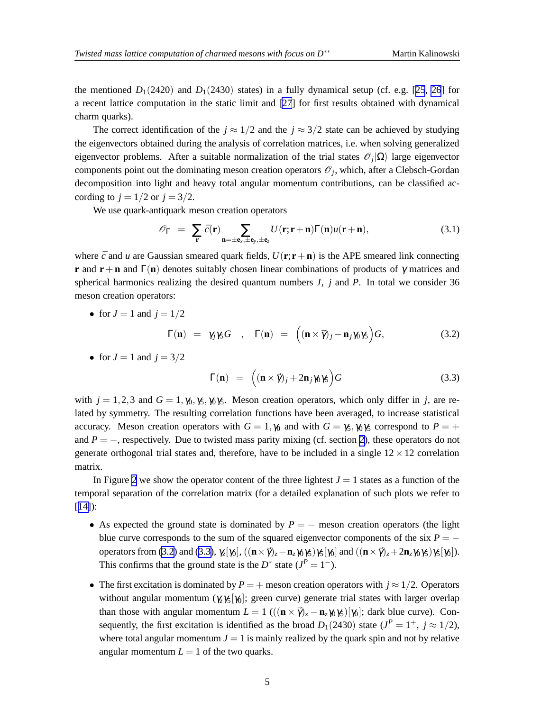the mentioned  $D_1(2420)$  and  $D_1(2430)$  states) in a fully dynamical setup (cf. e.g. [[25](#page-6-0), [26](#page-6-0)] for a recent lattice computation in the static limit and [\[27](#page-6-0)] for first results obtained with dynamical charm quarks).

The correct identification of the  $j \approx 1/2$  and the  $j \approx 3/2$  state can be achieved by studying the eigenvectors obtained during the analysis of correlation matrices, i.e. when solving generalized eigenvector problems. After a suitable normalization of the trial states  $\mathscr{O}_j|\Omega\rangle$  large eigenvector components point out the dominating meson creation operators  $\mathcal{O}_j$ , which, after a Clebsch-Gordan decomposition into light and heavy total angular momentum contributions, can be classified according to  $j = 1/2$  or  $j = 3/2$ .

We use quark-antiquark meson creation operators

$$
\mathscr{O}_{\Gamma} = \sum_{\mathbf{r}} \bar{c}(\mathbf{r}) \sum_{\mathbf{n}=\pm \mathbf{e}_x, \pm \mathbf{e}_y, \pm \mathbf{e}_z} U(\mathbf{r}; \mathbf{r} + \mathbf{n}) \Gamma(\mathbf{n}) u(\mathbf{r} + \mathbf{n}), \tag{3.1}
$$

where  $\bar{c}$  and *u* are Gaussian smeared quark fields,  $U(\bf{r}; \bf{r}+\bf{n})$  is the APE smeared link connecting **r** and **r** + **n** and  $\Gamma$ (**n**) denotes suitably chosen linear combinations of products of  $\gamma$  matrices and spherical harmonics realizing the desired quantum numbers *J*, *j* and *P*. In total we consider 36 meson creation operators:

• for 
$$
J = 1
$$
 and  $j = 1/2$ 

$$
\Gamma(\mathbf{n}) = \gamma_j \gamma_5 G \quad , \quad \Gamma(\mathbf{n}) = \left( (\mathbf{n} \times \vec{\gamma})_j - \mathbf{n}_j \gamma_0 \gamma_5 \right) G, \tag{3.2}
$$

• for  $J = 1$  and  $j = 3/2$ 

$$
\Gamma(\mathbf{n}) = \left( (\mathbf{n} \times \vec{\gamma})_j + 2\mathbf{n}_j \gamma_0 \gamma_5 \right) G \tag{3.3}
$$

with  $j = 1,2,3$  and  $G = 1, \gamma_0, \gamma_5, \gamma_6, \gamma_5$ . Meson creation operators, which only differ in *j*, are related by symmetry. The resulting correlation functions have been averaged, to increase statistical accuracy. Meson creation operators with  $G = 1$ ,  $\gamma_0$  and with  $G = \gamma_5$ ,  $\gamma_0 \gamma_5$  correspond to  $P = +$ and  $P = -$ , respectively. Due to twisted mass parity mixing (cf. section [2\)](#page-1-0), these operators do not generate orthogonal trial states and, therefore, have to be included in a single  $12 \times 12$  correlation matrix.

In Figure [2](#page-5-0) we show the operator content of the three lightest  $J = 1$  states as a function of the temporal separation of the correlation matrix (for a detailed explanation of such plots we refer to  $[14]$  $[14]$ :

- As expected the ground state is dominated by  $P = -$  meson creation operators (the light blue curve corresponds to the sum of the squared eigenvector components of the six  $P =$ operators from (3.2) and (3.3),  $\gamma_z[\gamma_0]$ ,  $((\mathbf{n} \times \vec{\gamma})_z - \mathbf{n}_z \gamma_0 \gamma_5)\gamma_5[\gamma_0]$  and  $((\mathbf{n} \times \vec{\gamma})_z + 2\mathbf{n}_z \gamma_0 \gamma_5)\gamma_5[\gamma_0]$ ). This confirms that the ground state is the  $D^*$  state  $(J^P = 1^-)$ .
- The first excitation is dominated by  $P = +$  meson creation operators with  $j \approx 1/2$ . Operators without angular momentum  $(\gamma \gamma_5|\gamma_6)$ ; green curve) generate trial states with larger overlap than those with angular momentum  $L = 1$  ( $((\mathbf{n} \times \vec{\gamma})_z - \mathbf{n}_z \gamma_0 \gamma_5)[\gamma_0]$ ; dark blue curve). Consequently, the first excitation is identified as the broad  $D_1(2430)$  state  $(J^P = 1^+, j \approx 1/2)$ , where total angular momentum  $J = 1$  is mainly realized by the quark spin and not by relative angular momentum  $L = 1$  of the two quarks.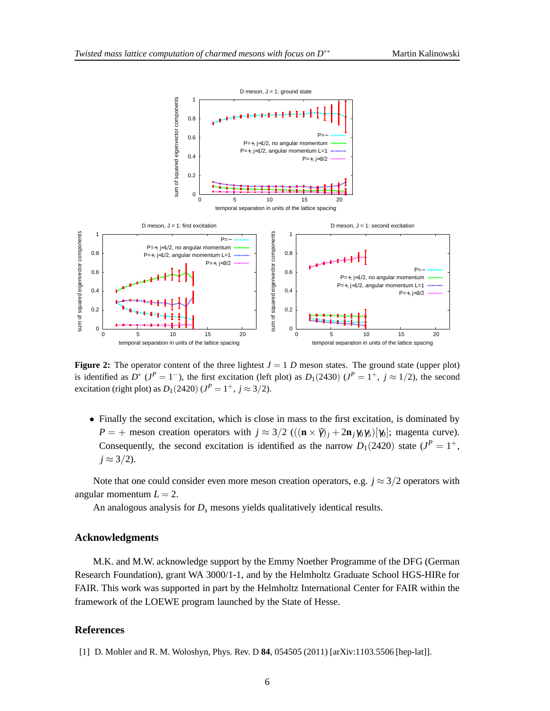<span id="page-5-0"></span>

**Figure 2:** The operator content of the three lightest  $J = 1$  *D* meson states. The ground state (upper plot) is identified as  $D^*$  ( $J^P = 1^-$ ), the first excitation (left plot) as  $D_1(2430)$  ( $J^P = 1^+$ ,  $j \approx 1/2$ ), the second excitation (right plot) as  $D_1(2420)$  ( $J^P = 1^+, j \approx 3/2$ ).

• Finally the second excitation, which is close in mass to the first excitation, is dominated by *P* = + meson creation operators with  $j \approx 3/2$  (( $(\mathbf{n} \times \vec{\gamma})_i + 2\mathbf{n}_i \gamma_0 \gamma_5$ )[ $\gamma_0$ ]; magenta curve). Consequently, the second excitation is identified as the narrow  $D_1(2420)$  state  $(J^P = 1^+,$  $j \approx 3/2$ ).

Note that one could consider even more meson creation operators, e.g.  $j \approx 3/2$  operators with angular momentum  $L = 2$ .

An analogous analysis for *D<sup>s</sup>* mesons yields qualitatively identical results.

#### **Acknowledgments**

M.K. and M.W. acknowledge support by the Emmy Noether Programme of the DFG (German Research Foundation), grant WA 3000/1-1, and by the Helmholtz Graduate School HGS-HIRe for FAIR. This work was supported in part by the Helmholtz International Center for FAIR within the framework of the LOEWE program launched by the State of Hesse.

### **References**

[1] D. Mohler and R. M. Woloshyn, Phys. Rev. D **84**, 054505 (2011) [arXiv:1103.5506 [hep-lat]].